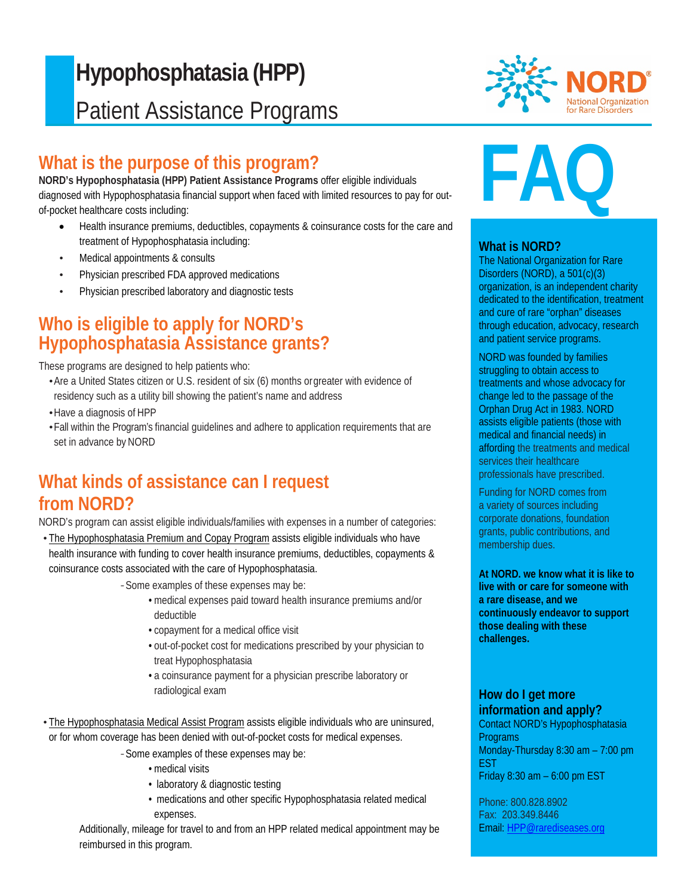## ŀ **Hypophosphatasia (HPP)** Patient Assistance Programs

## **What is the purpose of this program?**

**NORD's Hypophosphatasia (HPP) Patient Assistance Programs** offer eligible individuals diagnosed with Hypophosphatasia financial support when faced with limited resources to pay for outof-pocket healthcare costs including:

- Health insurance premiums, deductibles, copayments & coinsurance costs for the care and treatment of Hypophosphatasia including:
- Medical appointments & consults
- Physician prescribed FDA approved medications
- Physician prescribed laboratory and diagnostic tests

## **Who is eligible to apply for NORD's Hypophosphatasia Assistance grants?**

These programs are designed to help patients who:

- •Are a United States citizen or U.S. resident of six (6) months orgreater with evidence of residency such as a utility bill showing the patient's name and address
- •Have a diagnosis of HPP
- •Fall within the Program's financial guidelines and adhere to application requirements that are set in advance by NORD

## **What kinds of assistance can I request from NORD?**

NORD's program can assist eligible individuals/families with expenses in a number of categories:

- The Hypophosphatasia Premium and Copay Program assists eligible individuals who have health insurance with funding to cover health insurance premiums, deductibles, copayments & coinsurance costs associated with the care of Hypophosphatasia.
	- *-*Some examples of these expenses may be:
		- medical expenses paid toward health insurance premiums and/or deductible
		- copayment for a medical office visit
		- out-of-pocket cost for medications prescribed by your physician to treat Hypophosphatasia
		- a coinsurance payment for a physician prescribe laboratory or radiological exam
- The Hypophosphatasia Medical Assist Program assists eligible individuals who are uninsured, or for whom coverage has been denied with out-of-pocket costs for medical expenses.

*-*Some examples of these expenses may be:

- medical visits
- laboratory & diagnostic testing
- medications and other specific Hypophosphatasia related medical expenses.

Additionally, mileage for travel to and from an HPP related medical appointment may be reimbursed in this program.



# **FAQ**

#### **What is NORD?**

The National Organization for Rare Disorders (NORD), a 501(c)(3) organization, is an independent charity dedicated to the identification, treatment and cure of rare "orphan" diseases through education, advocacy, research and patient service programs.

NORD was founded by families struggling to obtain access to treatments and whose advocacy for change led to the passage of the Orphan Drug Act in 1983. NORD assists eligible patients (those with medical and financial needs) in affording the treatments and medical services their healthcare professionals have prescribed.

Funding for NORD comes from a variety of sources including corporate donations, foundation grants, public contributions, and membership dues.

**At NORD. we know what it is like to live with or care for someone with a rare disease, and we continuously endeavor to support those dealing with these challenges.**

#### **How do I get more information and apply?**

Contact NORD's Hypophosphatasia Programs Monday-Thursday 8:30 am – 7:00 pm EST Friday 8:30 am – 6:00 pm EST

Phone: 800.828.8902 Fax: 203.349.8446 Email: [HPP@rarediseases.org](mailto:HPP@rarediseases.org)